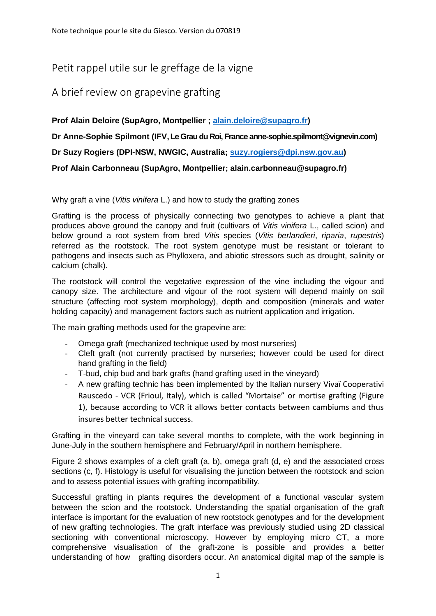## Petit rappel utile sur le greffage de la vigne

## A brief review on grapevine grafting

**Prof Alain Deloire (SupAgro, Montpellier ; [alain.deloire@supagro.fr\)](mailto:alain.deloire@supagro.fr)** 

**Dr Anne-Sophie Spilmont (IFV,Le Grau du Roi, France anne-sophie.spilmont@vignevin.com)**

**Dr Suzy Rogiers (DPI-NSW, NWGIC, Australia; [suzy.rogiers@dpi.nsw.gov.au\)](mailto:suzy.rogiers@dpi.nsw.gov.au)**

**Prof Alain Carbonneau (SupAgro, Montpellier; alain.carbonneau@supagro.fr)**

Why graft a vine (*Vitis vinifera* L.) and how to study the grafting zones

Grafting is the process of physically connecting two genotypes to achieve a plant that produces above ground the canopy and fruit (cultivars of *Vitis vinifera* L., called scion) and below ground a root system from bred *Vitis* species (*Vitis berlandieri*, *riparia*, *rupestris*) referred as the rootstock. The root system genotype must be resistant or tolerant to pathogens and insects such as Phylloxera, and abiotic stressors such as drought, salinity or calcium (chalk).

The rootstock will control the vegetative expression of the vine including the vigour and canopy size. The architecture and vigour of the root system will depend mainly on soil structure (affecting root system morphology), depth and composition (minerals and water holding capacity) and management factors such as nutrient application and irrigation.

The main grafting methods used for the grapevine are:

- Omega graft (mechanized technique used by most nurseries)
- Cleft graft (not currently practised by nurseries; however could be used for direct hand grafting in the field)
- T-bud, chip bud and bark grafts (hand grafting used in the vineyard)
- A new grafting technic has been implemented by the Italian nursery Vivaï Cooperativi Rauscedo - VCR (Frioul, Italy), which is called "Mortaise" or mortise grafting (Figure 1), because according to VCR it allows better contacts between cambiums and thus insures better technical success.

Grafting in the vineyard can take several months to complete, with the work beginning in June-July in the southern hemisphere and February/April in northern hemisphere.

Figure 2 shows examples of a cleft graft (a, b), omega graft (d, e) and the associated cross sections (c, f). Histology is useful for visualising the junction between the rootstock and scion and to assess potential issues with grafting incompatibility.

Successful grafting in plants requires the development of a functional vascular system between the scion and the rootstock. Understanding the spatial organisation of the graft interface is important for the evaluation of new rootstock genotypes and for the development of new grafting technologies. The graft interface was previously studied using 2D classical sectioning with conventional microscopy. However by employing micro CT, a more comprehensive visualisation of the graft-zone is possible and provides a better understanding of how grafting disorders occur. An anatomical digital map of the sample is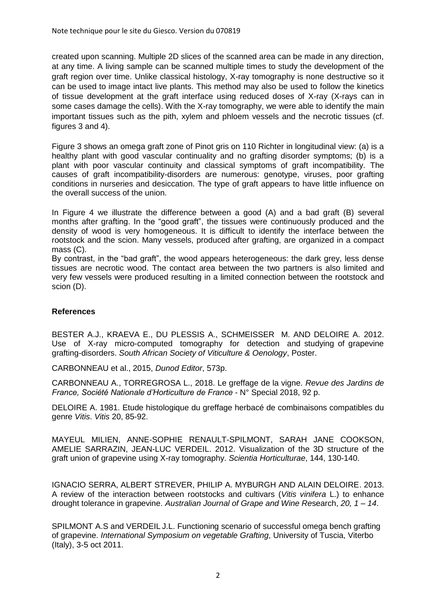created upon scanning. Multiple 2D slices of the scanned area can be made in any direction, at any time. A living sample can be scanned multiple times to study the development of the graft region over time. Unlike classical histology, X-ray tomography is none destructive so it can be used to image intact live plants. This method may also be used to follow the kinetics of tissue development at the graft interface using reduced doses of X-ray (X-rays can in some cases damage the cells). With the X-ray tomography, we were able to identify the main important tissues such as the pith, xylem and phloem vessels and the necrotic tissues (cf. figures 3 and 4).

Figure 3 shows an omega graft zone of Pinot gris on 110 Richter in longitudinal view: (a) is a healthy plant with good vascular continuality and no grafting disorder symptoms; (b) is a plant with poor vascular continuity and classical symptoms of graft incompatibility. The causes of graft incompatibility-disorders are numerous: genotype, viruses, poor grafting conditions in nurseries and desiccation. The type of graft appears to have little influence on the overall success of the union.

In Figure 4 we illustrate the difference between a good (A) and a bad graft (B) several months after grafting. In the "good graft", the tissues were continuously produced and the density of wood is very homogeneous. It is difficult to identify the interface between the rootstock and the scion. Many vessels, produced after grafting, are organized in a compact mass (C).

By contrast, in the "bad graft", the wood appears heterogeneous: the dark grey, less dense tissues are necrotic wood. The contact area between the two partners is also limited and very few vessels were produced resulting in a limited connection between the rootstock and scion (D).

## **References**

BESTER A.J., KRAEVA E., DU PLESSIS A., SCHMEISSER M. AND DELOIRE A. 2012. Use of X-ray micro-computed tomography for detection and studying of grapevine grafting-disorders. *South African Society of Viticulture & Oenology*, Poster.

CARBONNEAU et al., 2015, *Dunod Editor*, 573p.

CARBONNEAU A., TORREGROSA L., 2018. Le greffage de la vigne. *Revue des Jardins de France, Société Nationale d'Horticulture de France* - N° Special 2018, 92 p.

DELOIRE A. 1981. Etude histologique du greffage herbacé de combinaisons compatibles du genre *Vitis*. *Vitis* 20, 85-92.

MAYEUL MILIEN, ANNE-SOPHIE RENAULT-SPILMONT, SARAH JANE COOKSON, AMELIE SARRAZIN, JEAN-LUC VERDEIL. 2012. Visualization of the 3D structure of the graft union of grapevine using X-ray tomography. *Scientia Horticulturae*, 144, 130-140.

IGNACIO SERRA, ALBERT STREVER, PHILIP A. MYBURGH AND ALAIN DELOIRE. 2013. A review of the interaction between rootstocks and cultivars (*Vitis vinifera* L.) to enhance drought tolerance in grapevine. *Australian Journal of Grape and Wine Re*search, *20, 1 – 14*.

SPILMONT A.S and VERDEIL J.L. Functioning scenario of successful omega bench grafting of grapevine. *International Symposium on vegetable Grafting*, University of Tuscia, Viterbo (Italy), 3-5 oct 2011.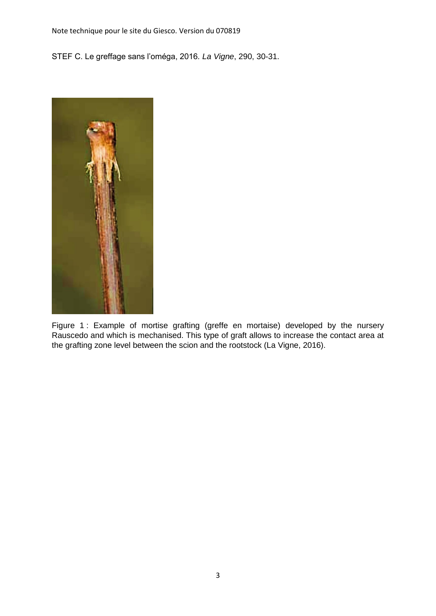Note technique pour le site du Giesco. Version du 070819

STEF C. Le greffage sans l'oméga, 2016*. La Vigne*, 290, 30-31.



Figure 1 : Example of mortise grafting (greffe en mortaise) developed by the nursery Rauscedo and which is mechanised. This type of graft allows to increase the contact area at the grafting zone level between the scion and the rootstock (La Vigne, 2016).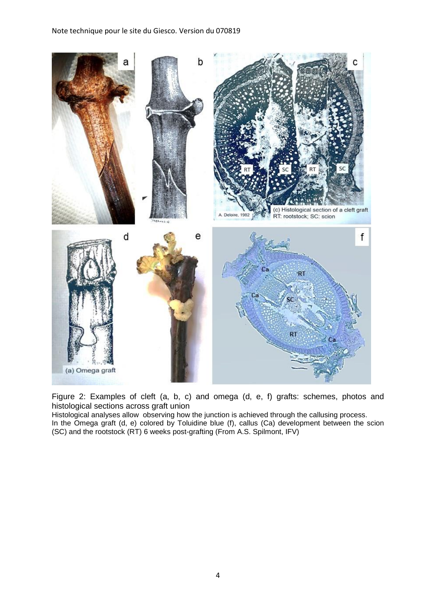

Figure 2: Examples of cleft (a, b, c) and omega (d, e, f) grafts: schemes, photos and histological sections across graft union

Histological analyses allow observing how the junction is achieved through the callusing process. In the Omega graft (d, e) colored by Toluidine blue (f), callus (Ca) development between the scion (SC) and the rootstock (RT) 6 weeks post-grafting (From A.S. Spilmont, IFV)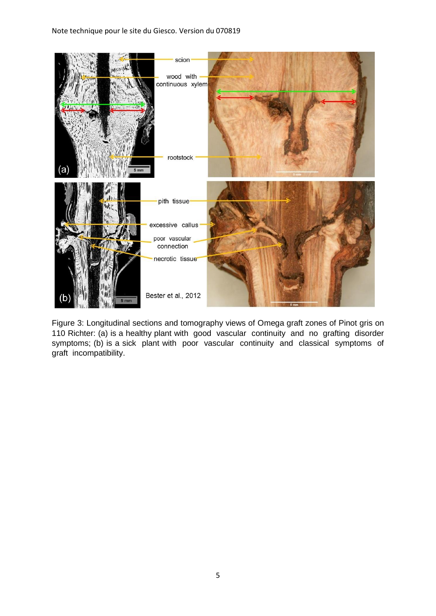## Note technique pour le site du Giesco. Version du 070819



Figure 3: Longitudinal sections and tomography views of Omega graft zones of Pinot gris on 110 Richter: (a) is a healthy plant with good vascular continuity and no grafting disorder symptoms; (b) is a sick plant with poor vascular continuity and classical symptoms of graft incompatibility.